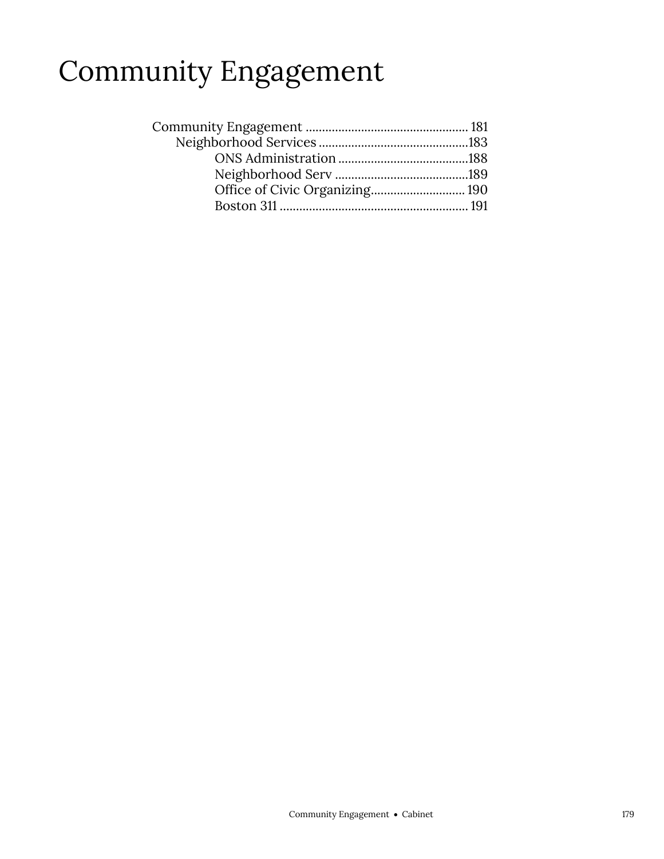## Community Engagement

| Office of Civic Organizing 190 |  |
|--------------------------------|--|
|                                |  |
|                                |  |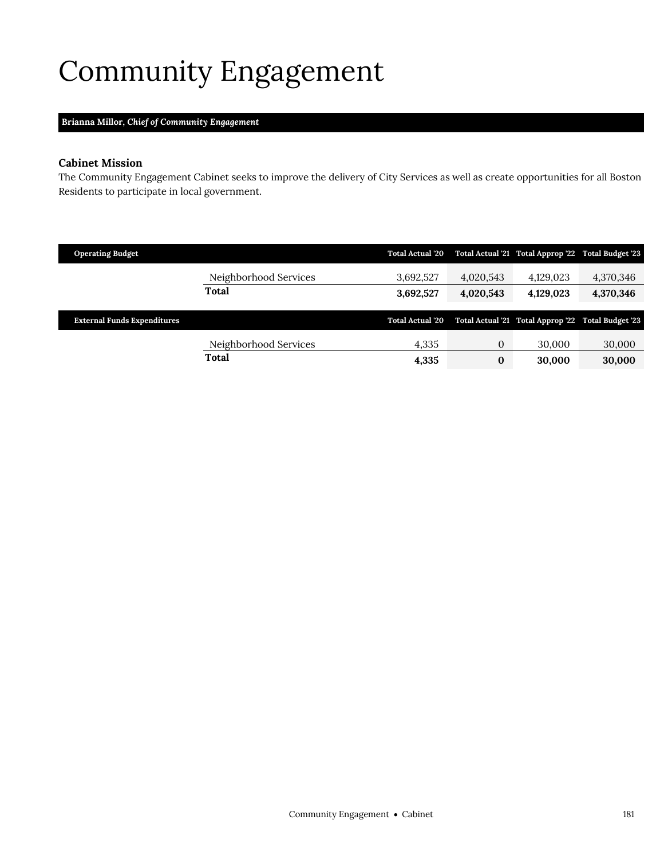# <span id="page-2-0"></span>Community Engagement

### **Brianna Millor,** *Chief of Community Engagement*

#### **Cabinet Mission**

The Community Engagement Cabinet seeks to improve the delivery of City Services as well as create opportunities for all Boston Residents to participate in local government.

| <b>Operating Budget</b>            |                       | <b>Total Actual '20</b> |              | Total Actual '21 Total Approp '22 Total Budget '23 |           |
|------------------------------------|-----------------------|-------------------------|--------------|----------------------------------------------------|-----------|
|                                    | Neighborhood Services | 3,692,527               | 4,020,543    | 4,129,023                                          | 4,370,346 |
|                                    | Total                 | 3,692,527               | 4,020,543    | 4,129,023                                          | 4,370,346 |
|                                    |                       |                         |              |                                                    |           |
|                                    |                       |                         |              |                                                    |           |
| <b>External Funds Expenditures</b> |                       | <b>Total Actual '20</b> |              | Total Actual '21 Total Approp '22 Total Budget '23 |           |
|                                    | Neighborhood Services | 4,335                   | $\mathbf{0}$ | 30,000                                             | 30,000    |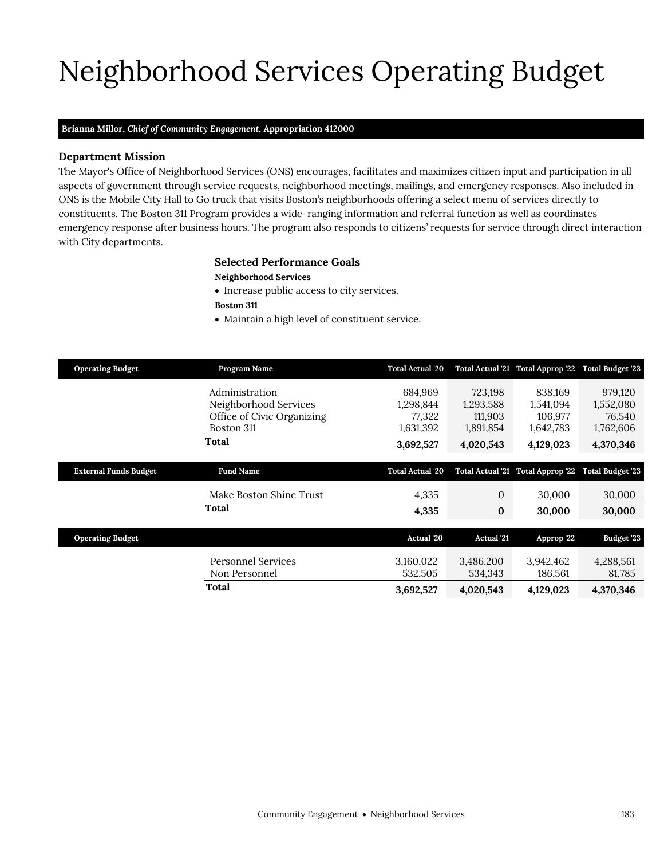# Neighborhood Services Operating Budget

### **Brianna Millor,** *Chief of Community Engagement,* **Appropriation 412000**

#### **Department Mission**

Neighborhood Services

The Mayor's Office of Neighborhood Services (ONS) encourages, facilitates and maximizes citizen input and participation in all aspects of government through service requests, neighborhood meetings, mailings, and emergency responses. Also included in ONS is the Mobile City Hall to Go truck that visits Boston's neighborhoods offering a select menu of services directly to constituents. The Boston 311 Program provides a wide-ranging information and referral function as well as coordinates emergency response after business hours. The program also responds to citizens' requests for service through direct interaction with City departments.

### <span id="page-4-0"></span>**Selected Performance Goals**

#### **Neighborhood Services**

- Increase public access to city services.
- **Boston 311**
- Maintain a high level of constituent service.

| <b>Operating Budget</b>      | Program Name               | <b>Total Actual '20</b> |                   | Total Actual '21 Total Approp '22 | <b>Total Budget '23</b> |
|------------------------------|----------------------------|-------------------------|-------------------|-----------------------------------|-------------------------|
|                              | Administration             | 684,969                 | 723,198           | 838,169                           | 979,120                 |
|                              | Neighborhood Services      | 1,298,844               | 1,293,588         | 1,541,094                         | 1,552,080               |
|                              | Office of Civic Organizing | 77,322                  | 111,903           | 106,977                           | 76,540                  |
|                              | Boston 311                 | 1,631,392               | 1,891,854         | 1,642,783                         | 1,762,606               |
|                              | Total                      | 3,692,527               | 4,020,543         | 4,129,023                         | 4,370,346               |
|                              |                            |                         |                   |                                   |                         |
| <b>External Funds Budget</b> | <b>Fund Name</b>           | <b>Total Actual '20</b> |                   | Total Actual '21 Total Approp '22 | <b>Total Budget '23</b> |
|                              | Make Boston Shine Trust    | 4,335                   | $\mathbf{0}$      | 30,000                            | 30,000                  |
|                              | Total                      | 4,335                   | $\bf{0}$          | 30,000                            | 30,000                  |
|                              |                            |                         |                   |                                   |                         |
| <b>Operating Budget</b>      |                            | Actual '20              | <b>Actual</b> '21 | Approp '22                        | <b>Budget '23</b>       |
|                              | Personnel Services         | 3,160,022               | 3,486,200         | 3,942,462                         | 4,288,561               |
|                              | Non Personnel              | 532,505                 | 534,343           | 186,561                           | 81,785                  |
|                              | Total                      |                         |                   |                                   |                         |
|                              |                            | 3,692,527               | 4,020,543         | 4,129,023                         | 4,370,346               |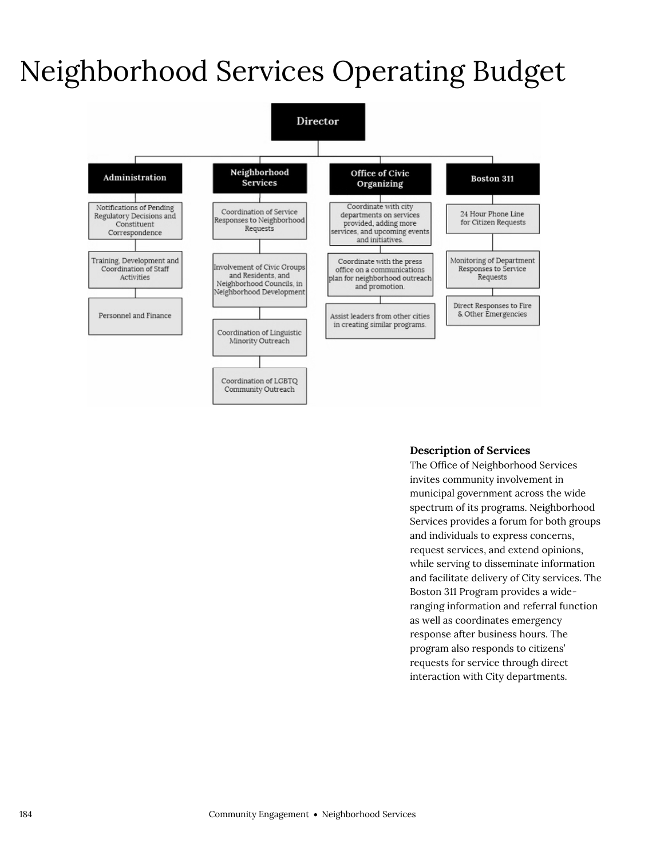## Neighborhood Services Operating Budget



#### **Description of Services**

The Office of Neighborhood Services invites community involvement in municipal government across the wide spectrum of its programs. Neighborhood Services provides a forum for both groups and individuals to express concerns, request services, and extend opinions, while serving to disseminate information and facilitate delivery of City services. The Boston 311 Program provides a wideranging information and referral function as well as coordinates emergency response after business hours. The program also responds to citizens' requests for service through direct interaction with City departments.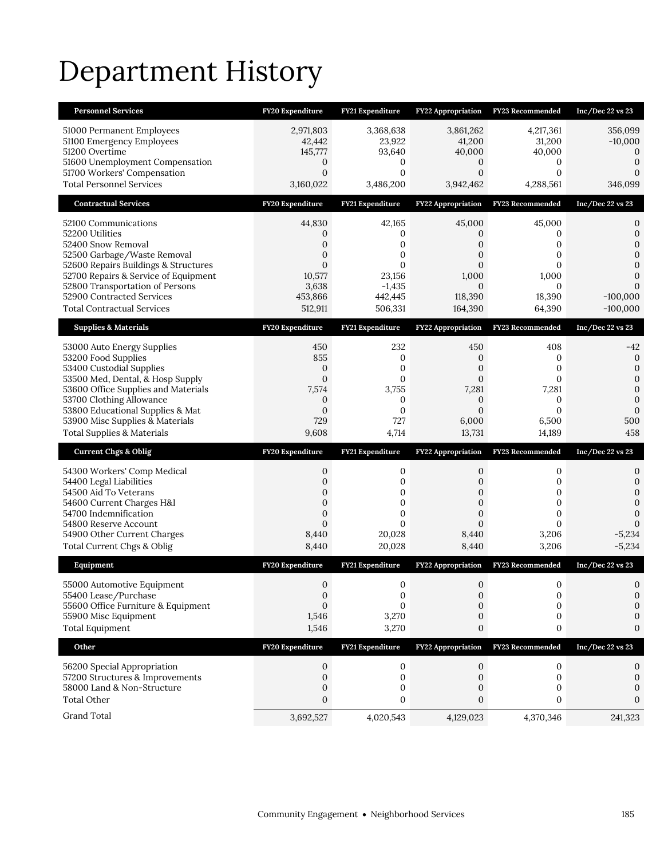# Department History

| <b>Personnel Services</b>                                           | FY20 Expenditure             | FY21 Expenditure          | <b>FY22 Appropriation</b>       | <b>FY23 Recommended</b>   | Inc/Dec $22$ vs $23$          |
|---------------------------------------------------------------------|------------------------------|---------------------------|---------------------------------|---------------------------|-------------------------------|
| 51000 Permanent Employees                                           | 2,971,803                    | 3,368,638                 | 3,861,262                       | 4,217,361                 | 356,099                       |
| 51100 Emergency Employees<br>51200 Overtime                         | 42,442<br>145,777            | 23,922<br>93,640          | 41,200<br>40,000                | 31,200<br>40,000          | $-10,000$<br>$\boldsymbol{0}$ |
| 51600 Unemployment Compensation                                     | 0                            | 0                         | 0                               | 0                         | $\mathbf{0}$                  |
| 51700 Workers' Compensation<br><b>Total Personnel Services</b>      | $\mathbf{0}$<br>3,160,022    | $\mathbf{0}$<br>3,486,200 | $\mathbf{0}$<br>3,942,462       | $\mathbf{0}$<br>4,288,561 | $\Omega$<br>346,099           |
| <b>Contractual Services</b>                                         | FY20 Expenditure             | FY21 Expenditure          | <b>FY22 Appropriation</b>       | FY23 Recommended          | Inc/Dec 22 vs 23              |
|                                                                     |                              |                           |                                 |                           |                               |
| 52100 Communications<br>52200 Utilities                             | 44,830<br>0                  | 42,165<br>0               | 45,000<br>0                     | 45,000<br>0               | 0<br>$\mathbf{0}$             |
| 52400 Snow Removal                                                  | 0                            | $\mathbf{0}$              | 0                               | 0                         | $\Omega$                      |
| 52500 Garbage/Waste Removal<br>52600 Repairs Buildings & Structures | 0<br>$\mathbf{0}$            | 0<br>0                    | 0<br>$\mathbf{0}$               | 0<br>0                    | $\mathbf{0}$<br>$\mathbf{0}$  |
| 52700 Repairs & Service of Equipment                                | 10,577                       | 23,156                    | 1,000                           | 1,000                     | $\mathbf{0}$                  |
| 52800 Transportation of Persons<br>52900 Contracted Services        | 3,638<br>453,866             | $-1,435$<br>442,445       | $\Omega$<br>118,390             | $\Omega$<br>18,390        | 0<br>$-100,000$               |
| <b>Total Contractual Services</b>                                   | 512,911                      | 506,331                   | 164,390                         | 64,390                    | $-100,000$                    |
| <b>Supplies &amp; Materials</b>                                     | FY20 Expenditure             | FY21 Expenditure          | <b>FY22 Appropriation</b>       | FY23 Recommended          | Inc/Dec 22 vs 23              |
| 53000 Auto Energy Supplies                                          | 450                          | 232                       | 450                             | 408                       | -42                           |
| 53200 Food Supplies<br>53400 Custodial Supplies                     | 855<br>$\mathbf 0$           | $\mathbf{0}$<br>0         | $\mathbf 0$<br>$\boldsymbol{0}$ | 0<br>0                    | $\mathbf{0}$<br>$\mathbf{0}$  |
| 53500 Med, Dental, & Hosp Supply                                    | $\mathbf{0}$                 | $\mathbf{0}$              | $\Omega$                        | 0                         | $\mathbf 0$                   |
| 53600 Office Supplies and Materials<br>53700 Clothing Allowance     | 7,574<br>$\mathbf 0$         | 3,755<br>0                | 7,281<br>$\mathbf{0}$           | 7,281<br>$\mathbf{0}$     | $\mathbf{0}$<br>$\mathbf{0}$  |
|                                                                     |                              |                           |                                 |                           |                               |
| 53800 Educational Supplies & Mat                                    | $\mathbf{0}$                 | $\mathbf{0}$              | $\Omega$                        | $\Omega$                  | $\mathbf{0}$                  |
| 53900 Misc Supplies & Materials                                     | 729                          | 727                       | 6,000                           | 6,500                     | 500                           |
| <b>Total Supplies &amp; Materials</b>                               | 9,608                        | 4,714                     | 13,731                          | 14,189                    | 458                           |
| <b>Current Chgs &amp; Oblig</b>                                     | FY20 Expenditure             | FY21 Expenditure          | FY22 Appropriation              | FY23 Recommended          | Inc/Dec 22 vs 23              |
| 54300 Workers' Comp Medical                                         | $\boldsymbol{0}$             | 0                         | $\mathbf{0}$                    | 0                         | 0                             |
| 54400 Legal Liabilities<br>54500 Aid To Veterans                    | $\mathbf{0}$<br>0            | $\mathbf{0}$<br>0         | $\mathbf{0}$<br>0               | 0<br>0                    | $\mathbf{0}$<br>$\mathbf{0}$  |
| 54600 Current Charges H&I                                           | $\mathbf{0}$                 | $\mathbf 0$               | $\mathbf{0}$                    | 0                         | $\mathbf{0}$                  |
| 54700 Indemnification<br>54800 Reserve Account                      | $\mathbf{0}$<br>$\mathbf{0}$ | $\mathbf{0}$<br>$\Omega$  | $\mathbf{0}$<br>$\overline{0}$  | $\mathbf{0}$<br>$\Omega$  | $\mathbf{0}$<br>$\Omega$      |
| 54900 Other Current Charges                                         | 8,440                        | 20,028                    | 8,440                           | 3,206                     | $-5,234$                      |
| Total Current Chgs & Oblig                                          | 8,440                        | 20,028                    | 8,440                           | 3,206                     | $-5,234$                      |
| Equipment                                                           | FY20 Expenditure             | FY21 Expenditure          | <b>FY22 Appropriation</b>       | FY23 Recommended          | Inc/Dec 22 vs 23              |
| 55000 Automotive Equipment<br>55400 Lease/Purchase                  | $\mathbf{0}$<br>$\mathbf 0$  | $\mathbf 0$<br>0          | $\mathbf{0}$<br>0               | $\mathbf{0}$<br>0         | $\mathbf{0}$<br>0             |
| 55600 Office Furniture & Equipment                                  | $\mathbf{0}$                 | $\Omega$                  | 0                               | $\mathbf{0}$              | 0                             |
| 55900 Misc Equipment<br><b>Total Equipment</b>                      | 1,546<br>1,546               | 3,270<br>3,270            | 0<br>0                          | 0<br>0                    | 0<br>0                        |
| Other                                                               | FY20 Expenditure             | FY21 Expenditure          | <b>FY22 Appropriation</b>       | FY23 Recommended          | Inc/Dec 22 vs 23              |
|                                                                     |                              |                           | 0                               | 0                         | 0                             |
| 56200 Special Appropriation<br>57200 Structures & Improvements      | 0<br>$\mathbf{0}$            | 0<br>$\mathbf 0$          | $\mathbf{0}$                    | 0                         | 0                             |
| 58000 Land & Non-Structure                                          | 0                            | 0                         | 0                               | 0                         | 0                             |
| <b>Total Other</b>                                                  | 0                            | 0                         | 0                               | 0                         | $\Omega$                      |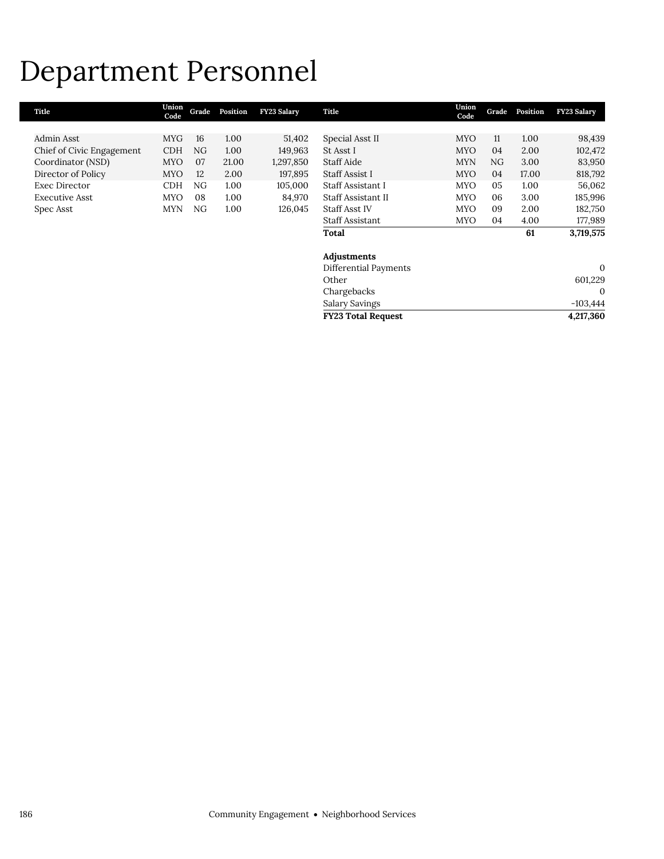## Department Personnel

| Title                     | Union<br>Code | Grade | Position | <b>FY23 Salary</b> | Title                     | Union<br>Code | Grade | Position | <b>FY23 Salary</b> |
|---------------------------|---------------|-------|----------|--------------------|---------------------------|---------------|-------|----------|--------------------|
|                           |               |       |          |                    |                           |               |       |          |                    |
| Admin Asst                | <b>MYG</b>    | 16    | 1.00     | 51,402             | Special Asst II           | <b>MYO</b>    | 11    | 1.00     | 98,439             |
| Chief of Civic Engagement | <b>CDH</b>    | NG    | 1.00     | 149,963            | St Asst I                 | <b>MYO</b>    | 04    | 2.00     | 102,472            |
| Coordinator (NSD)         | <b>MYO</b>    | 07    | 21.00    | 1,297,850          | Staff Aide                | <b>MYN</b>    | NG.   | 3.00     | 83,950             |
| Director of Policy        | <b>MYO</b>    | 12    | 2.00     | 197,895            | Staff Assist I            | <b>MYO</b>    | 04    | 17.00    | 818,792            |
| <b>Exec Director</b>      | <b>CDH</b>    | NG    | 1.00     | 105,000            | Staff Assistant I         | <b>MYO</b>    | 05    | 1.00     | 56,062             |
| Executive Asst            | <b>MYO</b>    | 08    | 1.00     | 84,970             | Staff Assistant II        | <b>MYO</b>    | 06    | 3.00     | 185,996            |
| Spec Asst                 | <b>MYN</b>    | NG    | 1.00     | 126,045            | <b>Staff Asst IV</b>      | <b>MYO</b>    | 09    | 2.00     | 182,750            |
|                           |               |       |          |                    | Staff Assistant           | <b>MYO</b>    | 04    | 4.00     | 177,989            |
|                           |               |       |          |                    | Total                     |               |       | 61       | 3,719,575          |
|                           |               |       |          |                    | Adjustments               |               |       |          |                    |
|                           |               |       |          |                    | Differential Payments     |               |       |          | $\mathbf{0}$       |
|                           |               |       |          |                    | Other                     |               |       |          | 601,229            |
|                           |               |       |          |                    | Chargebacks               |               |       |          | $\mathbf{0}$       |
|                           |               |       |          |                    | Salary Savings            |               |       |          | $-103,444$         |
|                           |               |       |          |                    | <b>FY23 Total Request</b> |               |       |          | 4,217,360          |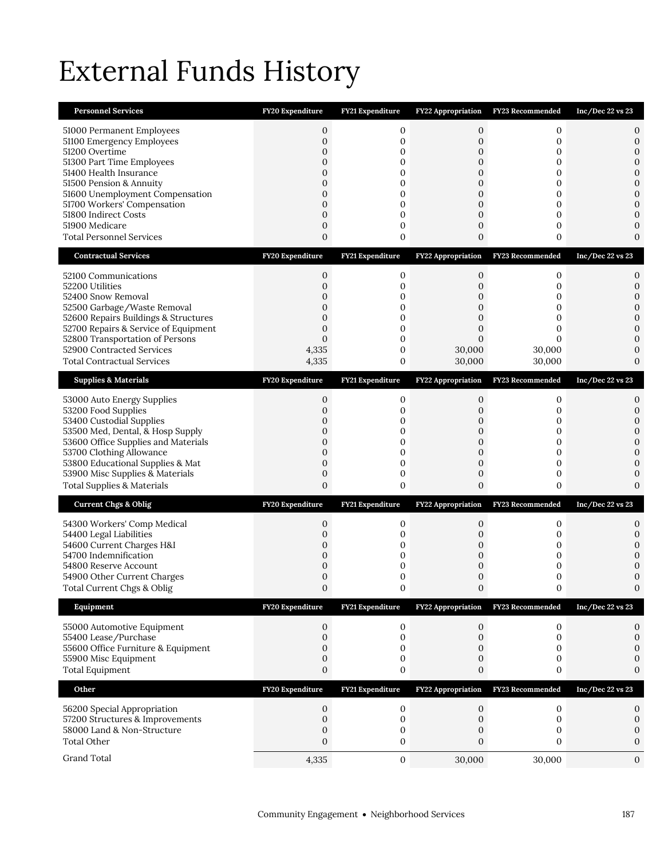# External Funds History

| <b>Personnel Services</b>                                                                                                                                                                                                                                                                                 | FY20 Expenditure                                                                                                                  | FY21 Expenditure                                                        | FY22 Appropriation                                                                                   | FY23 Recommended                                           | Inc/Dec 22 vs 23                                                                                        |
|-----------------------------------------------------------------------------------------------------------------------------------------------------------------------------------------------------------------------------------------------------------------------------------------------------------|-----------------------------------------------------------------------------------------------------------------------------------|-------------------------------------------------------------------------|------------------------------------------------------------------------------------------------------|------------------------------------------------------------|---------------------------------------------------------------------------------------------------------|
| 51000 Permanent Employees<br>51100 Emergency Employees<br>51200 Overtime<br>51300 Part Time Employees<br>51400 Health Insurance<br>51500 Pension & Annuity<br>51600 Unemployment Compensation<br>51700 Workers' Compensation<br>51800 Indirect Costs<br>51900 Medicare<br><b>Total Personnel Services</b> | $\mathbf{0}$<br>$\mathbf{0}$<br>$\mathbf 0$<br>$\mathbf{0}$<br>0<br>$\mathbf{0}$<br>$\overline{0}$<br>0<br>$\mathbf{0}$<br>0<br>0 | 0<br>$\mathbf 0$<br>0<br>0<br>0<br>0<br>$\mathbf 0$<br>0<br>0<br>0<br>0 | 0<br>0<br>$\mathbf 0$<br>0<br>0<br>0<br>$\mathbf{0}$<br>0<br>$\mathbf{0}$<br>0<br>$\mathbf{0}$       | 0<br>0<br>0<br>0<br>0<br>0<br>0<br>0<br>0<br>0<br>0        | 0<br>0<br>$\mathbf 0$<br>$\mathbf{0}$<br>0<br>0<br>$\mathbf{0}$<br>$\overline{0}$<br>0<br>0<br>$\Omega$ |
| <b>Contractual Services</b>                                                                                                                                                                                                                                                                               | FY20 Expenditure                                                                                                                  | FY21 Expenditure                                                        | FY22 Appropriation                                                                                   | <b>FY23 Recommended</b>                                    | Inc/Dec 22 vs 23                                                                                        |
| 52100 Communications<br>52200 Utilities<br>52400 Snow Removal<br>52500 Garbage/Waste Removal<br>52600 Repairs Buildings & Structures<br>52700 Repairs & Service of Equipment<br>52800 Transportation of Persons<br>52900 Contracted Services<br><b>Total Contractual Services</b>                         | 0<br>$\mathbf 0$<br>0<br>$\mathbf{0}$<br>$\overline{0}$<br>0<br>$\mathbf{0}$<br>4,335<br>4,335                                    | 0<br>$\mathbf 0$<br>0<br>0<br>0<br>0<br>$\mathbf 0$<br>0<br>0           | 0<br>$\mathbf 0$<br>0<br>$\mathbf 0$<br>$\mathbf{0}$<br>$\mathbf{0}$<br>$\Omega$<br>30,000<br>30,000 | 0<br>0<br>0<br>0<br>0<br>0<br>$\Omega$<br>30,000<br>30,000 | 0<br>0<br>$\mathbf{0}$<br>$\mathbf{0}$<br>$\mathbf{0}$<br>$\mathbf{0}$<br>0<br>0<br>$\mathbf{0}$        |
| <b>Supplies &amp; Materials</b>                                                                                                                                                                                                                                                                           | FY20 Expenditure                                                                                                                  | FY21 Expenditure                                                        | FY22 Appropriation                                                                                   | FY23 Recommended                                           | Inc/Dec 22 vs 23                                                                                        |
| 53000 Auto Energy Supplies<br>53200 Food Supplies<br>53400 Custodial Supplies<br>53500 Med, Dental, & Hosp Supply<br>53600 Office Supplies and Materials<br>53700 Clothing Allowance<br>53800 Educational Supplies & Mat<br>53900 Misc Supplies & Materials<br><b>Total Supplies &amp; Materials</b>      | 0<br>$\mathbf{0}$<br>0<br>$\mathbf 0$<br>$\mathbf{0}$<br>$\mathbf 0$<br>0<br>$\mathbf{0}$<br>$\overline{0}$                       | 0<br>$\mathbf 0$<br>0<br>$\mathbf 0$<br>0<br>0<br>0<br>$\mathbf 0$<br>0 | 0<br>$\mathbf{0}$<br>0<br>$\mathbf 0$<br>$\mathbf{0}$<br>0<br>0<br>$\mathbf 0$<br>$\overline{0}$     | 0<br>0<br>0<br>0<br>0<br>0<br>0<br>0<br>0                  | 0<br>0<br>0<br>$\mathbf{0}$<br>$\mathbf{0}$<br>$\mathbf{0}$<br>0<br>$\mathbf{0}$<br>$\Omega$            |
| <b>Current Chgs &amp; Oblig</b>                                                                                                                                                                                                                                                                           | FY20 Expenditure                                                                                                                  | FY21 Expenditure                                                        |                                                                                                      | FY22 Appropriation FY23 Recommended                        | Inc/Dec 22 vs 23                                                                                        |
| 54300 Workers' Comp Medical<br>54400 Legal Liabilities<br>54600 Current Charges H&I<br>54700 Indemnification<br>54800 Reserve Account<br>54900 Other Current Charges<br>Total Current Chgs & Oblig                                                                                                        | 0<br>0<br>0<br>0<br>$\mathbf{0}$<br>0<br>$\boldsymbol{0}$                                                                         | 0<br>0<br>0<br>0<br>0<br>0<br>0                                         | 0<br>0<br>0<br>0<br>$\mathbf{0}$<br>0<br>0                                                           | 0<br>0<br>0<br>0<br>0<br>0                                 | 0<br>0<br>0<br>0<br>0<br>$\mathbf{0}$                                                                   |
| Equipment                                                                                                                                                                                                                                                                                                 | FY20 Expenditure                                                                                                                  | FY21 Expenditure                                                        | <b>FY22 Appropriation</b>                                                                            | <b>FY23 Recommended</b>                                    | Inc/Dec 22 vs 23                                                                                        |
| 55000 Automotive Equipment<br>55400 Lease/Purchase<br>55600 Office Furniture & Equipment<br>55900 Misc Equipment<br><b>Total Equipment</b>                                                                                                                                                                | 0<br>$\mathbf 0$<br>$\mathbf{0}$<br>0<br>0                                                                                        | $\mathbf 0$<br>0<br>0<br>0<br>0                                         | $\mathbf 0$<br>0<br>0<br>0<br>0                                                                      | 0<br>$\mathbf{0}$<br>0<br>0<br>0                           | 0<br>$\boldsymbol{0}$<br>0<br>0<br>0                                                                    |
| Other                                                                                                                                                                                                                                                                                                     | FY20 Expenditure                                                                                                                  | FY21 Expenditure                                                        | FY22 Appropriation                                                                                   | FY23 Recommended                                           | Inc/Dec 22 vs 23                                                                                        |
| 56200 Special Appropriation<br>57200 Structures & Improvements<br>58000 Land & Non-Structure<br><b>Total Other</b>                                                                                                                                                                                        | 0<br>$\boldsymbol{0}$<br>0<br>$\mathbf{0}$                                                                                        | 0<br>$\boldsymbol{0}$<br>0<br>0                                         | 0<br>$\boldsymbol{0}$<br>0<br>0                                                                      | $\mathbf 0$<br>0<br>0<br>0                                 | 0<br>$\mathbf 0$<br>0<br>0                                                                              |
| Grand Total                                                                                                                                                                                                                                                                                               | 4,335                                                                                                                             | $\mathbf 0$                                                             | 30,000                                                                                               | 30,000                                                     | 0                                                                                                       |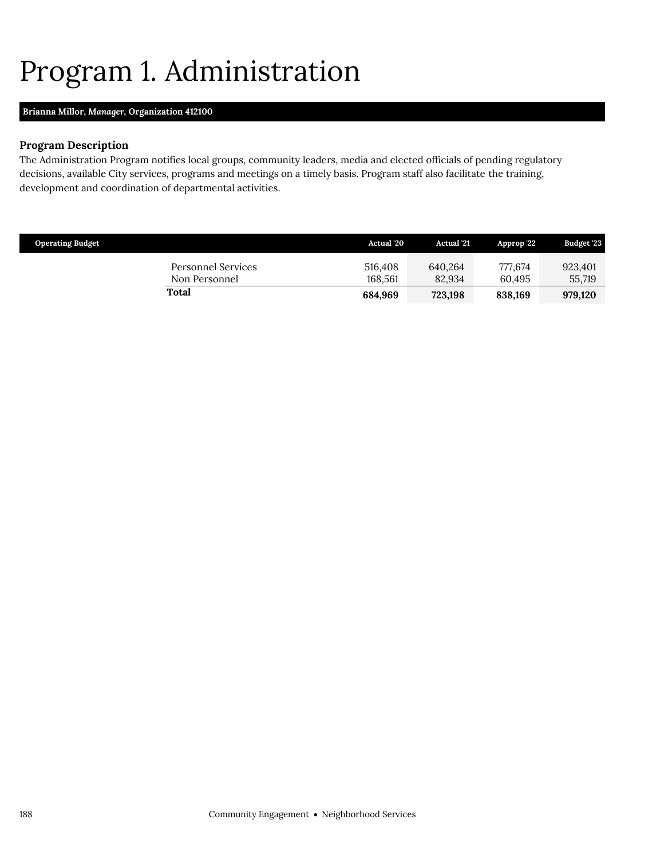## <span id="page-9-0"></span>Program 1. Administration

### **Brianna Millor,** *Manager,* **Organization 412100**

#### **Program Description**

The Administration Program notifies local groups, community leaders, media and elected officials of pending regulatory decisions, available City services, programs and meetings on a timely basis. Program staff also facilitate the training, development and coordination of departmental activities.

| <b>Operating Budget</b>             | <b>Actual</b> '20  | <b>Actual</b> '21 | Approp '22        | Budget '23        |
|-------------------------------------|--------------------|-------------------|-------------------|-------------------|
| Personnel Services<br>Non Personnel | 516.408<br>168.561 | 640.264<br>82.934 | 777.674<br>60.495 | 923.401<br>55,719 |
| Total                               | 684,969            | 723.198           | 838,169           | 979.120           |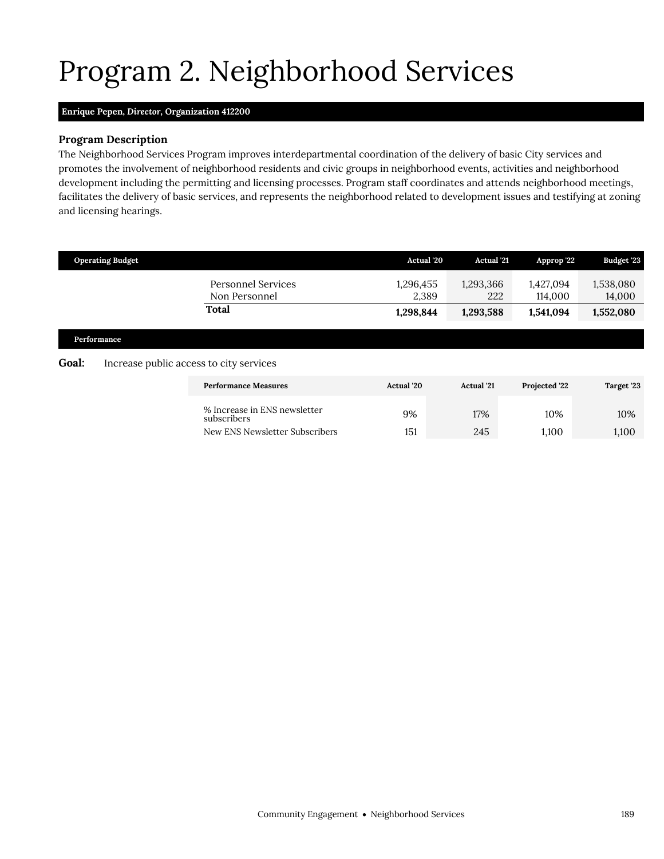# <span id="page-10-0"></span>Program 2. Neighborhood Services

### **Enrique Pepen,** *Director,* **Organization 412200**

#### **Program Description**

The Neighborhood Services Program improves interdepartmental coordination of the delivery of basic City services and promotes the involvement of neighborhood residents and civic groups in neighborhood events, activities and neighborhood development including the permitting and licensing processes. Program staff coordinates and attends neighborhood meetings, facilitates the delivery of basic services, and represents the neighborhood related to development issues and testifying at zoning and licensing hearings.

|              | <b>Operating Budget</b>                 |                                             | Actual '20         | <b>Actual</b> '21 | Approp '22           | Budget '23          |
|--------------|-----------------------------------------|---------------------------------------------|--------------------|-------------------|----------------------|---------------------|
|              |                                         | Personnel Services<br>Non Personnel         | 1,296,455<br>2,389 | 1,293,366<br>222  | 1,427,094<br>114,000 | 1,538,080<br>14,000 |
|              |                                         | <b>Total</b>                                | 1,298,844          | 1,293,588         | 1,541,094            | 1,552,080           |
| Performance  |                                         |                                             |                    |                   |                      |                     |
| <b>Goal:</b> | Increase public access to city services |                                             |                    |                   |                      |                     |
|              |                                         | <b>Performance Measures</b>                 | <b>Actual</b> '20  | <b>Actual</b> '21 | Projected '22        | Target '23          |
|              |                                         | % Increase in ENS newsletter<br>subscribers | 9%                 | 17%               | 10%                  | 10%                 |
|              |                                         | New ENS Newsletter Subscribers              | 151                | 245               | 1,100                | 1,100               |
|              |                                         |                                             |                    |                   |                      |                     |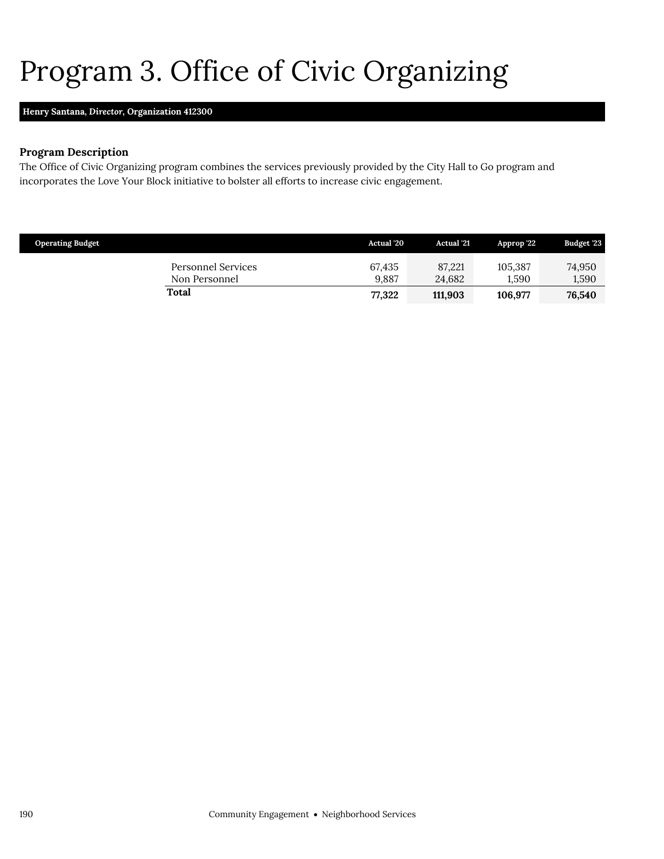# <span id="page-11-0"></span>Program 3. Office of Civic Organizing

#### **Henry Santana,** *Director,* **Organization 412300**

#### **Program Description**

The Office of Civic Organizing program combines the services previously provided by the City Hall to Go program and incorporates the Love Your Block initiative to bolster all efforts to increase civic engagement.

| <b>Operating Budget</b> |                                     | <b>Actual</b> '20 | <b>Actual</b> '21 | Approp 22        | Budget '23      |
|-------------------------|-------------------------------------|-------------------|-------------------|------------------|-----------------|
|                         | Personnel Services<br>Non Personnel | 67.435<br>9.887   | 87.221<br>24.682  | 105.387<br>1.590 | 74,950<br>1,590 |
|                         | Total                               | 77,322            | 111.903           | 106.977          | 76,540          |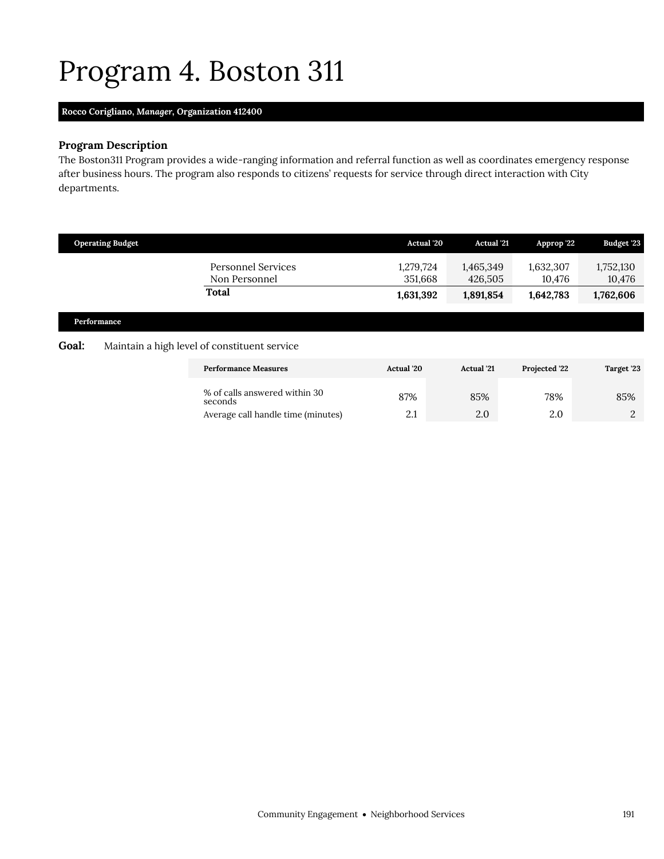## <span id="page-12-0"></span>Program 4. Boston 311

### **Rocco Corigliano,** *Manager,* **Organization 412400**

## **Program Description**

The Boston311 Program provides a wide-ranging information and referral function as well as coordinates emergency response after business hours. The program also responds to citizens' requests for service through direct interaction with City departments.

|              | <b>Operating Budget</b> |                                              | <b>Actual</b> '20    | <b>Actual</b> '21    | Approp '22          | Budget '23          |
|--------------|-------------------------|----------------------------------------------|----------------------|----------------------|---------------------|---------------------|
|              |                         | <b>Personnel Services</b><br>Non Personnel   | 1,279,724<br>351,668 | 1,465,349<br>426,505 | 1,632,307<br>10,476 | 1,752,130<br>10,476 |
|              |                         | <b>Total</b>                                 | 1,631,392            | 1,891,854            | 1,642,783           | 1,762,606           |
|              | Performance             |                                              |                      |                      |                     |                     |
| <b>Goal:</b> |                         | Maintain a high level of constituent service |                      |                      |                     |                     |
|              |                         | <b>Performance Measures</b>                  | <b>Actual</b> '20    | <b>Actual</b> '21    | Projected '22       | Target '23          |
|              |                         | % of calls answered within 30<br>seconds     | 87%                  | 85%                  | 78%                 | 85%                 |
|              |                         | Average call handle time (minutes)           | 2.1                  | 2.0                  | 2.0                 | 2                   |
|              |                         |                                              |                      |                      |                     |                     |